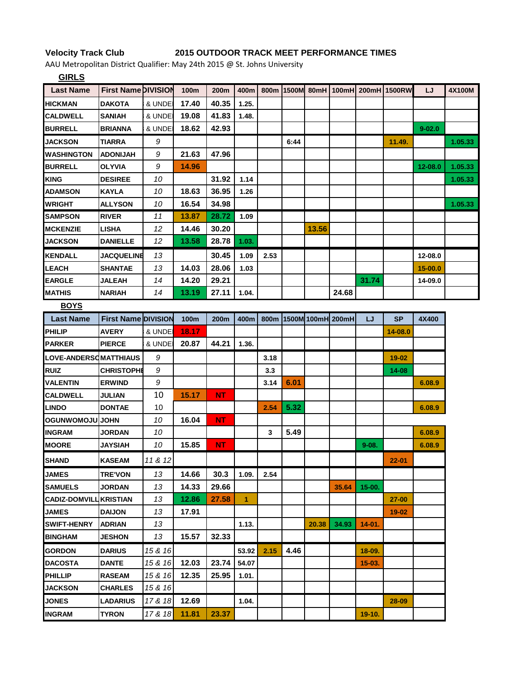## **Velocity Track Club 2015 OUTDOOR TRACK MEET PERFORMANCE TIMES**

AAU Metropolitan District Qualifier: May 24th 2015 @ St. Johns University

| <b>GIRLS</b>           |                            |         |             |           |              |                  |      |       |                   |            |                                              |             |         |
|------------------------|----------------------------|---------|-------------|-----------|--------------|------------------|------|-------|-------------------|------------|----------------------------------------------|-------------|---------|
| <b>Last Name</b>       | <b>First Name DIVISION</b> |         | 100m        | 200m      | 400m         |                  |      |       |                   |            | 800m   1500M   80mH   100mH   200mH   1500RW | LJ          | 4X100M  |
| <b>HICKMAN</b>         | <b>DAKOTA</b>              | & UNDE  | 17.40       | 40.35     | 1.25.        |                  |      |       |                   |            |                                              |             |         |
| <b>CALDWELL</b>        | <b>SANIAH</b>              | & UNDEI | 19.08       | 41.83     | 1.48.        |                  |      |       |                   |            |                                              |             |         |
| <b>BURRELL</b>         | <b>BRIANNA</b>             | & UNDE  | 18.62       | 42.93     |              |                  |      |       |                   |            |                                              | $9 - 02.0$  |         |
| <b>JACKSON</b>         | <b>TIARRA</b>              | 9       |             |           |              |                  | 6:44 |       |                   |            | 11.49.                                       |             | 1.05.33 |
| <b>IWASHINGTON</b>     | <b>HALINOUA</b>            | 9       | 21.63       | 47.96     |              |                  |      |       |                   |            |                                              |             |         |
| <b>BURRELL</b>         | <b>OLYVIA</b>              | 9       | 14.96       |           |              |                  |      |       |                   |            |                                              | 12-08.0     | 1.05.33 |
| <b>KING</b>            | <b>DESIREE</b>             | 10      |             | 31.92     | 1.14         |                  |      |       |                   |            |                                              |             | 1.05.33 |
| <b>ADAMSON</b>         | <b>KAYLA</b>               | 10      | 18.63       | 36.95     | 1.26         |                  |      |       |                   |            |                                              |             |         |
| <b>WRIGHT</b>          | <b>ALLYSON</b>             | 10      | 16.54       | 34.98     |              |                  |      |       |                   |            |                                              |             | 1.05.33 |
| <b>SAMPSON</b>         | <b>RIVER</b>               | 11      | 13.87       | 28.72     | 1.09         |                  |      |       |                   |            |                                              |             |         |
| <b>MCKENZIE</b>        | <b>LISHA</b>               | 12      | 14.46       | 30.20     |              |                  |      | 13.56 |                   |            |                                              |             |         |
| <b>JACKSON</b>         | <b>DANIELLE</b>            | 12      | 13.58       | 28.78     | 1.03.        |                  |      |       |                   |            |                                              |             |         |
| <b>KENDALL</b>         | <b>JACQUELINE</b>          | 13      |             | 30.45     | 1.09         | 2.53             |      |       |                   |            |                                              | 12-08.0     |         |
| <b>LEACH</b>           | <b>SHANTAE</b>             | 13      | 14.03       | 28.06     | 1.03         |                  |      |       |                   |            |                                              | $15 - 00.0$ |         |
| <b>EARGLE</b>          | <b>JALEAH</b>              | 14      | 14.20       | 29.21     |              |                  |      |       |                   | 31.74      |                                              | 14-09.0     |         |
| <b>MATHIS</b>          | <b>NARIAH</b>              | 14      | 13.19       | 27.11     | 1.04.        |                  |      |       | 24.68             |            |                                              |             |         |
| <b>BOYS</b>            |                            |         |             |           |              |                  |      |       |                   |            |                                              |             |         |
| <b>Last Name</b>       | <b>First Name DIVISION</b> |         | <b>100m</b> | 200m      | 400m         | 800 <sub>m</sub> |      |       | 1500M 100mH 200mH | IJ         | SP                                           | 4X400       |         |
| PHILIP                 | <b>AVERY</b>               | & UNDEI | 18.17       |           |              |                  |      |       |                   |            | 14-08.0                                      |             |         |
| <b>PARKER</b>          | <b>PIERCE</b>              | & UNDEI | 20.87       | 44.21     | 1.36.        |                  |      |       |                   |            |                                              |             |         |
| LOVE-ANDERSOMATTHIAUS  |                            | 9       |             |           |              | 3.18             |      |       |                   |            | $19 - 02$                                    |             |         |
| <b>RUIZ</b>            | <b>CHRISTOPHE</b>          | 9       |             |           |              | 3.3              |      |       |                   |            | 14-08                                        |             |         |
| <b>VALENTIN</b>        | <b>ERWIND</b>              | 9       |             |           |              | 3.14             | 6.01 |       |                   |            |                                              | 6.08.9      |         |
| <b>CALDWELL</b>        | JULIAN                     | 10      | 15.17       | NT        |              |                  |      |       |                   |            |                                              |             |         |
| <b>LINDO</b>           | <b>DONTAE</b>              | 10      |             |           |              | 2.54             | 5.32 |       |                   |            |                                              | 6.08.9      |         |
| <b>OGUNWOMOJU JOHN</b> |                            | 10      | 16.04       | NT.       |              |                  |      |       |                   |            |                                              |             |         |
| <b>INGRAM</b>          | <b>JORDAN</b>              | 10      |             |           |              | 3                | 5.49 |       |                   |            |                                              | 6.08.9      |         |
| <b>MOORE</b>           | <b>JAYSIAH</b>             | 10      | 15.85       | <b>NT</b> |              |                  |      |       |                   | $9 - 08.$  |                                              | 6.08.9      |         |
| <b>SHAND</b>           | <b>KASEAM</b>              | 11 & 12 |             |           |              |                  |      |       |                   |            | $22 - 01$                                    |             |         |
| <b>JAMES</b>           | <b>TRE'VON</b>             | 13      | 14.66       | 30.3      | 1.09.        | 2.54             |      |       |                   |            |                                              |             |         |
| <b>SAMUELS</b>         | <b>JORDAN</b>              | 13      | 14.33       | 29.66     |              |                  |      |       | 35.64             | $15 - 00.$ |                                              |             |         |
| <b>CADIZ-DOMVILI</b>   | <b>KRISTIAN</b>            | 13      | 12.86       | 27.58     | $\mathbf{1}$ |                  |      |       |                   |            | $27 - 00$                                    |             |         |
| <b>JAMES</b>           | <b>DAIJON</b>              | 13      | 17.91       |           |              |                  |      |       |                   |            | 19-02                                        |             |         |
| <b>SWIFT-HENRY</b>     | <b>ADRIAN</b>              | 13      |             |           | 1.13.        |                  |      | 20.38 | 34.93             | $14 - 01.$ |                                              |             |         |
| <b>BINGHAM</b>         | <b>JESHON</b>              | 13      | 15.57       | 32.33     |              |                  |      |       |                   |            |                                              |             |         |
| <b>GORDON</b>          | <b>DARIUS</b>              | 15 & 16 |             |           | 53.92        | 2.15             | 4.46 |       |                   | $18-09.$   |                                              |             |         |
| <b>DACOSTA</b>         | <b>DANTE</b>               | 15 & 16 | 12.03       | 23.74     | 54.07        |                  |      |       |                   | $15-03.$   |                                              |             |         |
| PHILLIP                | <b>RASEAM</b>              | 15 & 16 | 12.35       | 25.95     | 1.01.        |                  |      |       |                   |            |                                              |             |         |
| <b>JACKSON</b>         | <b>CHARLES</b>             | 15 & 16 |             |           |              |                  |      |       |                   |            |                                              |             |         |
| <b>JONES</b>           | <b>LADARIUS</b>            | 17 & 18 | 12.69       |           | 1.04.        |                  |      |       |                   |            | 28-09                                        |             |         |
| <b>INGRAM</b>          | <b>TYRON</b>               | 17 & 18 | 11.81       | 23.37     |              |                  |      |       |                   | 19-10.     |                                              |             |         |